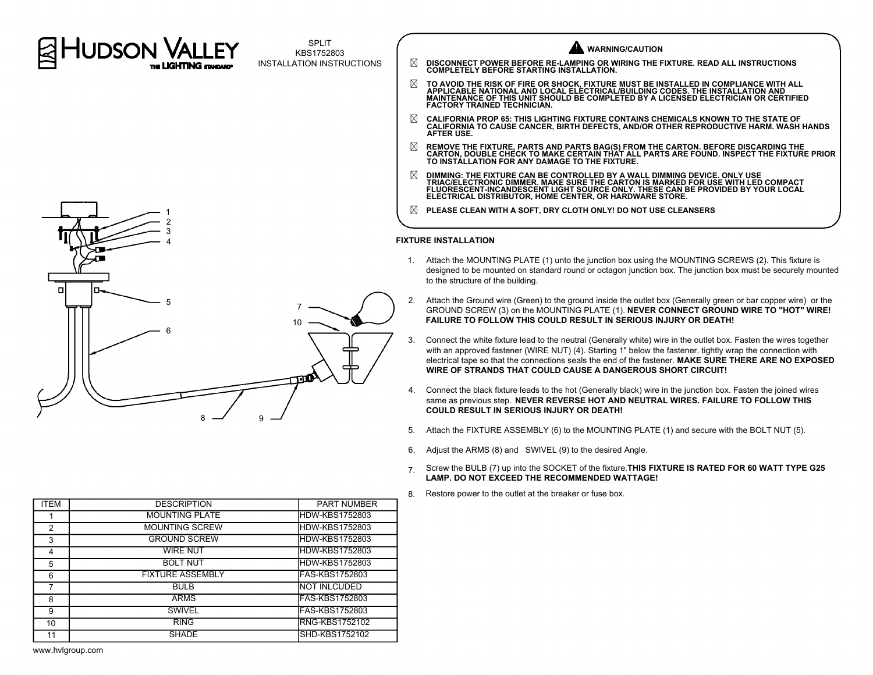

SPLIT KBS1752803 INSTALLATION INSTRUCTIONS



8 9

|   | <b>WARNING/CAUTION</b>                                                                                                                                                                                                                                                                                      |
|---|-------------------------------------------------------------------------------------------------------------------------------------------------------------------------------------------------------------------------------------------------------------------------------------------------------------|
| ⊠ | DISCONNECT POWER BEFORE RE-LAMPING OR WIRING THE FIXTURE. READ ALL INSTRUCTIONS<br><b>COMPLETELY BEFORE STARTING INSTALLATION.</b>                                                                                                                                                                          |
| ⊠ | TO AVOID THE RISK OF FIRE OR SHOCK, FIXTURE MUST BE INSTALLED IN COMPLIANCE WITH ALL<br>APPLICABLE NATIONAL AND LOCAL ELÉCTRICAL/BUILDING CODES. THE INSTALLATION AND<br>MAINTENANCE OF THIS UNIT SHOULD BE COMPLETED BY A LICENSED ELECTRICIAN OR CERTIFIED<br><b>FACTORY TRAINED TECHNICIAN.</b>          |
| ⊠ | <b>CALIFORNIA PROP 65: THIS LIGHTING FIXTURE CONTAINS CHEMICALS KNOWN TO THE STATE OF</b><br>CALIFORNIA TO CAUSE CANCER. BIRTH DEFECTS, AND/OR OTHER REPRODUCTIVE HARM, WASH HANDS<br><b>AFTER USE.</b>                                                                                                     |
| ⊠ | REMOVE THE FIXTURE, PARTS AND PARTS BAG(S) FROM THE CARTON. BEFORE DISCARDING THE<br>CARTON, DOUBLE CHECK TO MAKE CERTAIN THAT ALL PARTS ARE FOUND. INSPECT THE FIXTURE PRIOR<br>TO INSTÁLLATION FOR ANY DAMAGE TO THE FIXTURE.                                                                             |
| ⊠ | DIMMING: THE FIXTURE CAN BE CONTROLLED BY A WALL DIMMING DEVICE. ONLY USE<br>TRIAC/ELECTRONIC DIMMER. MAKE SURE THE CARTON IS MARKED FOR USE WITH LED COMPACT<br>FLUORESCENT-INCANDESCENT LIGHT SOURCE ONLY. THESE CAN BE PROVIDED BY YOUR LOCAL<br>ELECTRICAL DISTRIBUTOR. HOME CENTER. OR HARDWARE STORE. |
| ⊠ | PLEASE CLEAN WITH A SOFT. DRY CLOTH ONLY! DO NOT USE CLEANSERS                                                                                                                                                                                                                                              |
|   |                                                                                                                                                                                                                                                                                                             |

## **FIXTURE INSTALLATION**

- 1. Attach the MOUNTING PLATE (1) unto the junction box using the MOUNTING SCREWS (2). This fixture is designed to be mounted on standard round or octagon junction box. The junction box must be securely mounted to the structure of the building.
- 2. Attach the Ground wire (Green) to the ground inside the outlet box (Generally green or bar copper wire) or the GROUND SCREW (3) on the MOUNTING PLATE (1). **NEVER CONNECT GROUND WIRE TO "HOT" WIRE! FAILURE TO FOLLOW THIS COULD RESULT IN SERIOUS INJURY OR DEATH!**
- 3. Connect the white fixture lead to the neutral (Generally white) wire in the outlet box. Fasten the wires together with an approved fastener (WIRE NUT) (4). Starting 1" below the fastener, tightly wrap the connection with electrical tape so that the connections seals the end of the fastener. **MAKE SURE THERE ARE NO EXPOSED WIRE OF STRANDS THAT COULD CAUSE A DANGEROUS SHORT CIRCUIT!**
- 4. Connect the black fixture leads to the hot (Generally black) wire in the junction box. Fasten the joined wires same as previous step. **NEVER REVERSE HOT AND NEUTRAL WIRES. FAILURE TO FOLLOW THIS COULD RESULT IN SERIOUS INJURY OR DEATH!**
- 5. Attach the FIXTURE ASSEMBLY (6) to the MOUNTING PLATE (1) and secure with the BOLT NUT (5).
- 6. Adjust the ARMS (8) and SWIVEL (9) to the desired Angle.
- 7. Screw the BULB (7) up into the SOCKET of the fixture.**THIS FIXTURE IS RATED FOR 60 WATT TYPE G25 LAMP. DO NOT EXCEED THE RECOMMENDED WATTAGE!**
- 8. Restore power to the outlet at the breaker or fuse box.

| <b>ITEM</b> | <b>DESCRIPTION</b>      | <b>PART NUMBER</b>     |
|-------------|-------------------------|------------------------|
|             | <b>MOUNTING PLATE</b>   | <b>HDW-KBS1752803</b>  |
| 2           | <b>MOUNTING SCREW</b>   | <b>HDW-KBS1752803</b>  |
| 3           | <b>GROUND SCREW</b>     | <b>HDW-KBS1752803</b>  |
| 4           | <b>WIRE NUT</b>         | <b>HDW-KBS1752803</b>  |
| 5           | <b>BOLT NUT</b>         | <b>HDW-KBS1752803</b>  |
| 6           | <b>FIXTURE ASSEMBLY</b> | FAS-KBS1752803         |
| 7           | <b>BULB</b>             | <b>NOT INLCUDED</b>    |
| 8           | <b>ARMS</b>             | <b>IFAS-KBS1752803</b> |
| 9           | <b>SWIVEL</b>           | <b>FAS-KBS1752803</b>  |
| 10          | <b>RING</b>             | <b>RNG-KBS1752102</b>  |
| 11          | <b>SHADE</b>            | SHD-KBS1752102         |

www.hvlgroup.com